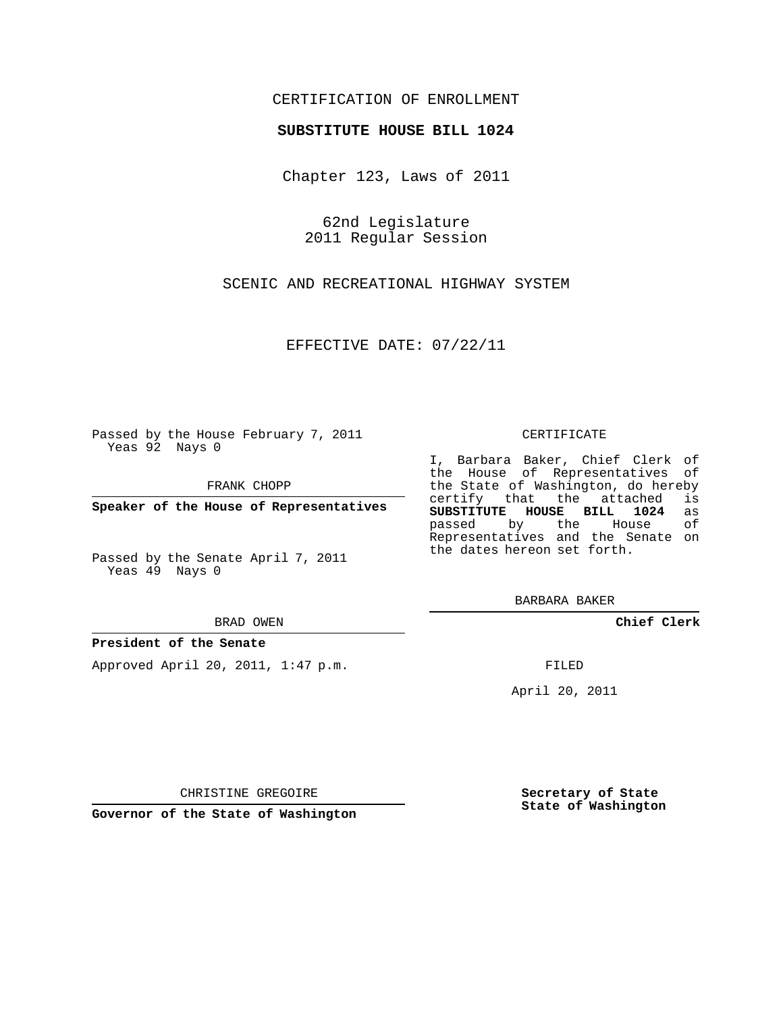## CERTIFICATION OF ENROLLMENT

### **SUBSTITUTE HOUSE BILL 1024**

Chapter 123, Laws of 2011

62nd Legislature 2011 Regular Session

SCENIC AND RECREATIONAL HIGHWAY SYSTEM

EFFECTIVE DATE: 07/22/11

Passed by the House February 7, 2011 Yeas 92 Nays 0

FRANK CHOPP

**Speaker of the House of Representatives**

Passed by the Senate April 7, 2011 Yeas 49 Nays 0

#### BRAD OWEN

### **President of the Senate**

Approved April 20, 2011, 1:47 p.m.

#### CERTIFICATE

I, Barbara Baker, Chief Clerk of the House of Representatives of the State of Washington, do hereby<br>certify that the attached is certify that the attached is<br>SUBSTITUTE HOUSE BILL 1024 as **SUBSTITUTE HOUSE BILL 1024** as passed by the House Representatives and the Senate on the dates hereon set forth.

BARBARA BAKER

**Chief Clerk**

FILED

April 20, 2011

CHRISTINE GREGOIRE

**Governor of the State of Washington**

**Secretary of State State of Washington**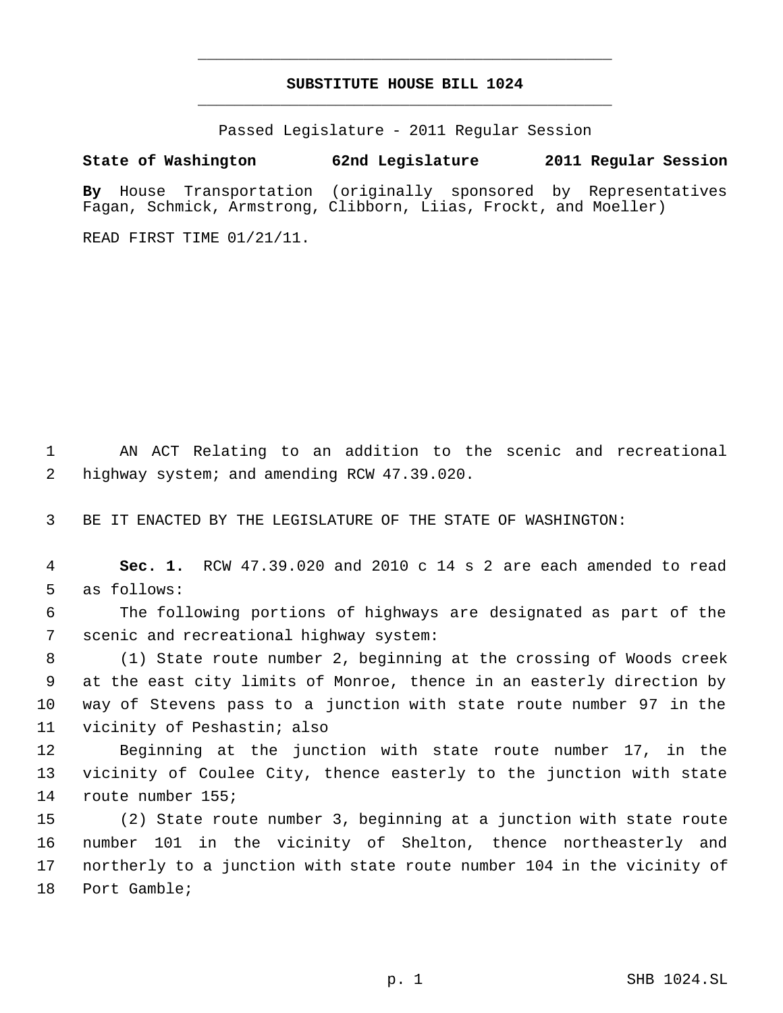# **SUBSTITUTE HOUSE BILL 1024** \_\_\_\_\_\_\_\_\_\_\_\_\_\_\_\_\_\_\_\_\_\_\_\_\_\_\_\_\_\_\_\_\_\_\_\_\_\_\_\_\_\_\_\_\_

\_\_\_\_\_\_\_\_\_\_\_\_\_\_\_\_\_\_\_\_\_\_\_\_\_\_\_\_\_\_\_\_\_\_\_\_\_\_\_\_\_\_\_\_\_

Passed Legislature - 2011 Regular Session

# **State of Washington 62nd Legislature 2011 Regular Session**

**By** House Transportation (originally sponsored by Representatives Fagan, Schmick, Armstrong, Clibborn, Liias, Frockt, and Moeller)

READ FIRST TIME 01/21/11.

 AN ACT Relating to an addition to the scenic and recreational highway system; and amending RCW 47.39.020.

BE IT ENACTED BY THE LEGISLATURE OF THE STATE OF WASHINGTON:

 **Sec. 1.** RCW 47.39.020 and 2010 c 14 s 2 are each amended to read as follows:

 The following portions of highways are designated as part of the scenic and recreational highway system:

 (1) State route number 2, beginning at the crossing of Woods creek at the east city limits of Monroe, thence in an easterly direction by way of Stevens pass to a junction with state route number 97 in the vicinity of Peshastin; also

 Beginning at the junction with state route number 17, in the vicinity of Coulee City, thence easterly to the junction with state route number 155;

 (2) State route number 3, beginning at a junction with state route number 101 in the vicinity of Shelton, thence northeasterly and northerly to a junction with state route number 104 in the vicinity of Port Gamble;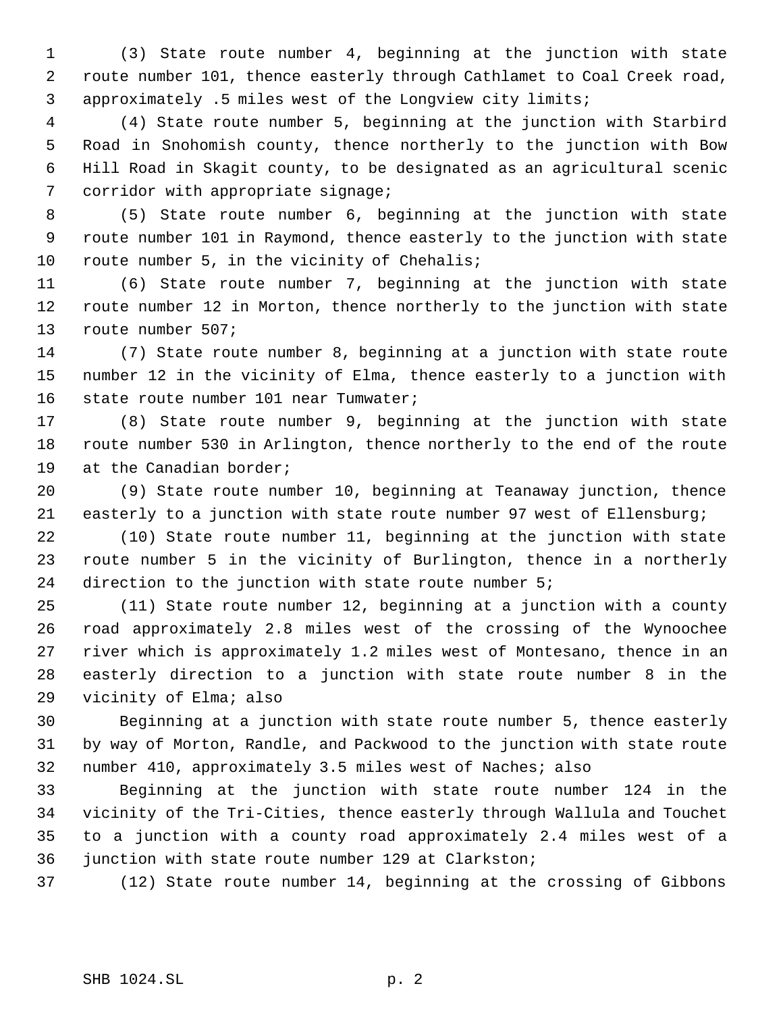(3) State route number 4, beginning at the junction with state route number 101, thence easterly through Cathlamet to Coal Creek road, approximately .5 miles west of the Longview city limits;

 (4) State route number 5, beginning at the junction with Starbird Road in Snohomish county, thence northerly to the junction with Bow Hill Road in Skagit county, to be designated as an agricultural scenic 7 corridor with appropriate signage;

 (5) State route number 6, beginning at the junction with state route number 101 in Raymond, thence easterly to the junction with state 10 route number 5, in the vicinity of Chehalis;

 (6) State route number 7, beginning at the junction with state route number 12 in Morton, thence northerly to the junction with state route number 507;

 (7) State route number 8, beginning at a junction with state route number 12 in the vicinity of Elma, thence easterly to a junction with state route number 101 near Tumwater;

 (8) State route number 9, beginning at the junction with state route number 530 in Arlington, thence northerly to the end of the route 19 at the Canadian border;

 (9) State route number 10, beginning at Teanaway junction, thence easterly to a junction with state route number 97 west of Ellensburg;

 (10) State route number 11, beginning at the junction with state route number 5 in the vicinity of Burlington, thence in a northerly 24 direction to the junction with state route number 5;

 (11) State route number 12, beginning at a junction with a county road approximately 2.8 miles west of the crossing of the Wynoochee river which is approximately 1.2 miles west of Montesano, thence in an easterly direction to a junction with state route number 8 in the vicinity of Elma; also

 Beginning at a junction with state route number 5, thence easterly by way of Morton, Randle, and Packwood to the junction with state route number 410, approximately 3.5 miles west of Naches; also

 Beginning at the junction with state route number 124 in the vicinity of the Tri-Cities, thence easterly through Wallula and Touchet to a junction with a county road approximately 2.4 miles west of a junction with state route number 129 at Clarkston;

(12) State route number 14, beginning at the crossing of Gibbons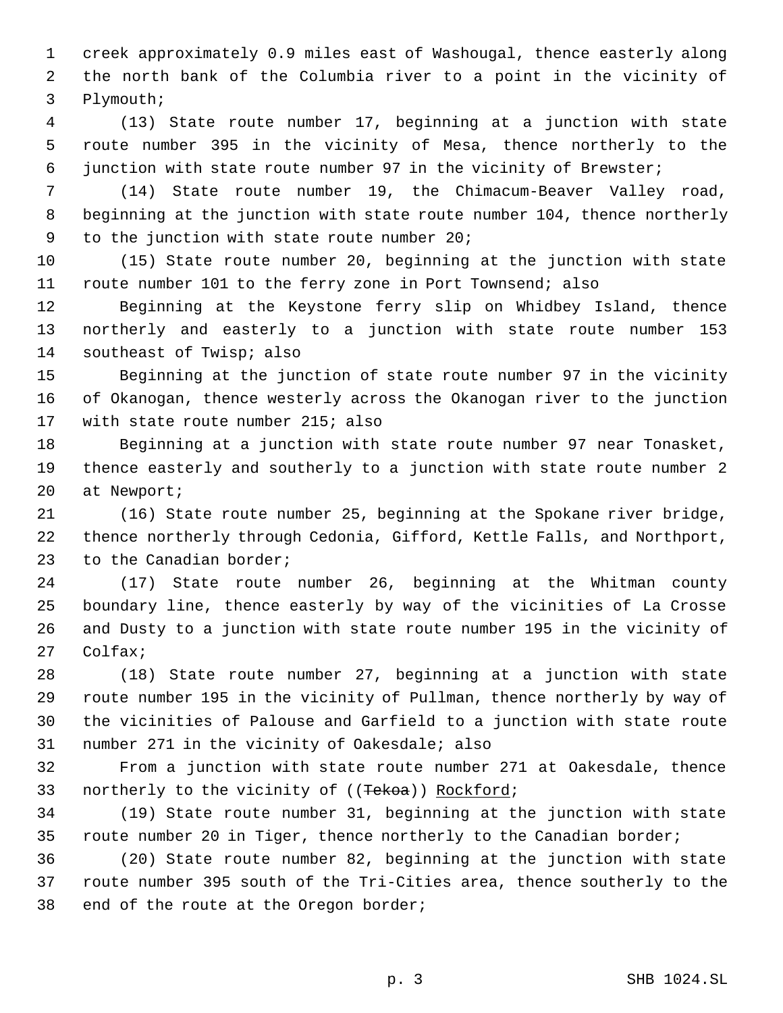creek approximately 0.9 miles east of Washougal, thence easterly along the north bank of the Columbia river to a point in the vicinity of Plymouth;

 (13) State route number 17, beginning at a junction with state route number 395 in the vicinity of Mesa, thence northerly to the junction with state route number 97 in the vicinity of Brewster;

 (14) State route number 19, the Chimacum-Beaver Valley road, beginning at the junction with state route number 104, thence northerly to the junction with state route number 20;

 (15) State route number 20, beginning at the junction with state route number 101 to the ferry zone in Port Townsend; also

 Beginning at the Keystone ferry slip on Whidbey Island, thence northerly and easterly to a junction with state route number 153 southeast of Twisp; also

 Beginning at the junction of state route number 97 in the vicinity of Okanogan, thence westerly across the Okanogan river to the junction with state route number 215; also

 Beginning at a junction with state route number 97 near Tonasket, thence easterly and southerly to a junction with state route number 2 at Newport;

 (16) State route number 25, beginning at the Spokane river bridge, thence northerly through Cedonia, Gifford, Kettle Falls, and Northport, to the Canadian border;

 (17) State route number 26, beginning at the Whitman county boundary line, thence easterly by way of the vicinities of La Crosse and Dusty to a junction with state route number 195 in the vicinity of Colfax;

 (18) State route number 27, beginning at a junction with state route number 195 in the vicinity of Pullman, thence northerly by way of the vicinities of Palouse and Garfield to a junction with state route number 271 in the vicinity of Oakesdale; also

 From a junction with state route number 271 at Oakesdale, thence 33 northerly to the vicinity of ((Tekoa)) Rockford;

 (19) State route number 31, beginning at the junction with state route number 20 in Tiger, thence northerly to the Canadian border;

 (20) State route number 82, beginning at the junction with state route number 395 south of the Tri-Cities area, thence southerly to the end of the route at the Oregon border;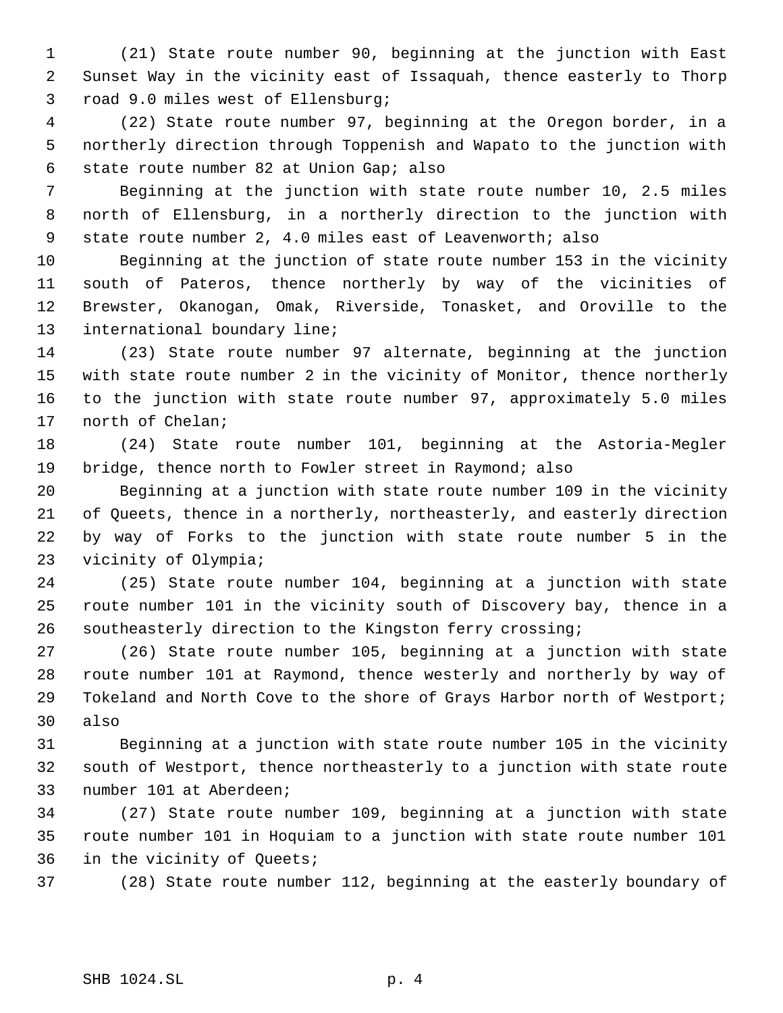(21) State route number 90, beginning at the junction with East Sunset Way in the vicinity east of Issaquah, thence easterly to Thorp road 9.0 miles west of Ellensburg;

 (22) State route number 97, beginning at the Oregon border, in a northerly direction through Toppenish and Wapato to the junction with state route number 82 at Union Gap; also

 Beginning at the junction with state route number 10, 2.5 miles north of Ellensburg, in a northerly direction to the junction with state route number 2, 4.0 miles east of Leavenworth; also

 Beginning at the junction of state route number 153 in the vicinity south of Pateros, thence northerly by way of the vicinities of Brewster, Okanogan, Omak, Riverside, Tonasket, and Oroville to the international boundary line;

 (23) State route number 97 alternate, beginning at the junction with state route number 2 in the vicinity of Monitor, thence northerly to the junction with state route number 97, approximately 5.0 miles north of Chelan;

 (24) State route number 101, beginning at the Astoria-Megler bridge, thence north to Fowler street in Raymond; also

 Beginning at a junction with state route number 109 in the vicinity of Queets, thence in a northerly, northeasterly, and easterly direction by way of Forks to the junction with state route number 5 in the vicinity of Olympia;

 (25) State route number 104, beginning at a junction with state route number 101 in the vicinity south of Discovery bay, thence in a southeasterly direction to the Kingston ferry crossing;

 (26) State route number 105, beginning at a junction with state route number 101 at Raymond, thence westerly and northerly by way of Tokeland and North Cove to the shore of Grays Harbor north of Westport; also

 Beginning at a junction with state route number 105 in the vicinity south of Westport, thence northeasterly to a junction with state route number 101 at Aberdeen;

 (27) State route number 109, beginning at a junction with state route number 101 in Hoquiam to a junction with state route number 101 in the vicinity of Queets;

(28) State route number 112, beginning at the easterly boundary of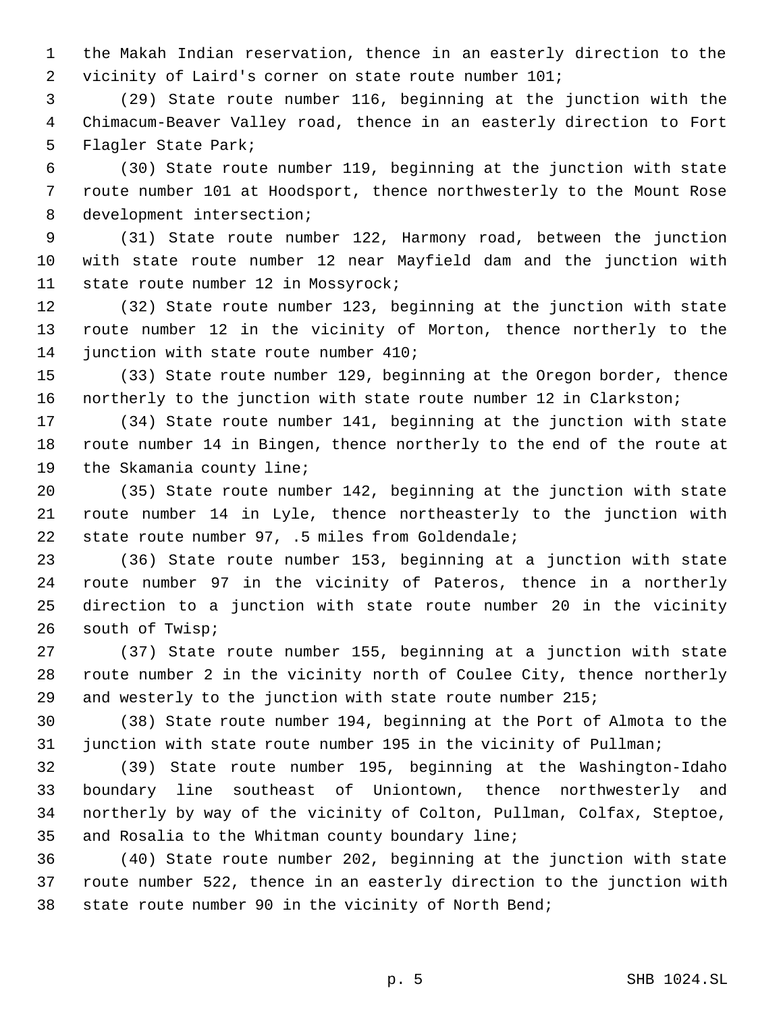the Makah Indian reservation, thence in an easterly direction to the vicinity of Laird's corner on state route number 101;

 (29) State route number 116, beginning at the junction with the Chimacum-Beaver Valley road, thence in an easterly direction to Fort Flagler State Park;

 (30) State route number 119, beginning at the junction with state route number 101 at Hoodsport, thence northwesterly to the Mount Rose development intersection;

 (31) State route number 122, Harmony road, between the junction with state route number 12 near Mayfield dam and the junction with state route number 12 in Mossyrock;

 (32) State route number 123, beginning at the junction with state route number 12 in the vicinity of Morton, thence northerly to the 14 junction with state route number 410;

 (33) State route number 129, beginning at the Oregon border, thence northerly to the junction with state route number 12 in Clarkston;

 (34) State route number 141, beginning at the junction with state route number 14 in Bingen, thence northerly to the end of the route at the Skamania county line;

 (35) State route number 142, beginning at the junction with state route number 14 in Lyle, thence northeasterly to the junction with state route number 97, .5 miles from Goldendale;

 (36) State route number 153, beginning at a junction with state route number 97 in the vicinity of Pateros, thence in a northerly direction to a junction with state route number 20 in the vicinity south of Twisp;

 (37) State route number 155, beginning at a junction with state route number 2 in the vicinity north of Coulee City, thence northerly and westerly to the junction with state route number 215;

 (38) State route number 194, beginning at the Port of Almota to the junction with state route number 195 in the vicinity of Pullman;

 (39) State route number 195, beginning at the Washington-Idaho boundary line southeast of Uniontown, thence northwesterly and northerly by way of the vicinity of Colton, Pullman, Colfax, Steptoe, and Rosalia to the Whitman county boundary line;

 (40) State route number 202, beginning at the junction with state route number 522, thence in an easterly direction to the junction with state route number 90 in the vicinity of North Bend;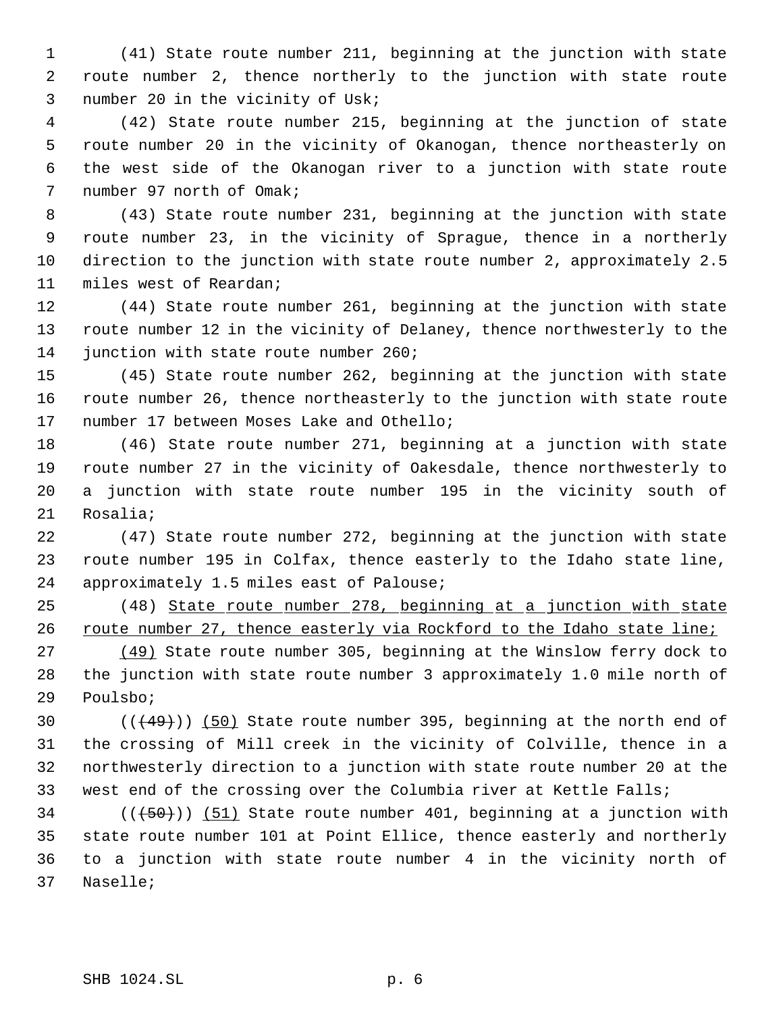(41) State route number 211, beginning at the junction with state route number 2, thence northerly to the junction with state route number 20 in the vicinity of Usk;

 (42) State route number 215, beginning at the junction of state route number 20 in the vicinity of Okanogan, thence northeasterly on the west side of the Okanogan river to a junction with state route number 97 north of Omak;

 (43) State route number 231, beginning at the junction with state route number 23, in the vicinity of Sprague, thence in a northerly direction to the junction with state route number 2, approximately 2.5 miles west of Reardan;

 (44) State route number 261, beginning at the junction with state route number 12 in the vicinity of Delaney, thence northwesterly to the 14 junction with state route number 260;

 (45) State route number 262, beginning at the junction with state route number 26, thence northeasterly to the junction with state route number 17 between Moses Lake and Othello;

 (46) State route number 271, beginning at a junction with state route number 27 in the vicinity of Oakesdale, thence northwesterly to a junction with state route number 195 in the vicinity south of Rosalia;

 (47) State route number 272, beginning at the junction with state route number 195 in Colfax, thence easterly to the Idaho state line, approximately 1.5 miles east of Palouse;

 (48) State route number 278, beginning at a junction with state 26 route number 27, thence easterly via Rockford to the Idaho state line;

 (49) State route number 305, beginning at the Winslow ferry dock to the junction with state route number 3 approximately 1.0 mile north of Poulsbo;

 $((49)$ ) (50) State route number 395, beginning at the north end of the crossing of Mill creek in the vicinity of Colville, thence in a northwesterly direction to a junction with state route number 20 at the west end of the crossing over the Columbia river at Kettle Falls;

 ( $(\overline{50})$ ) (51) State route number 401, beginning at a junction with state route number 101 at Point Ellice, thence easterly and northerly to a junction with state route number 4 in the vicinity north of Naselle;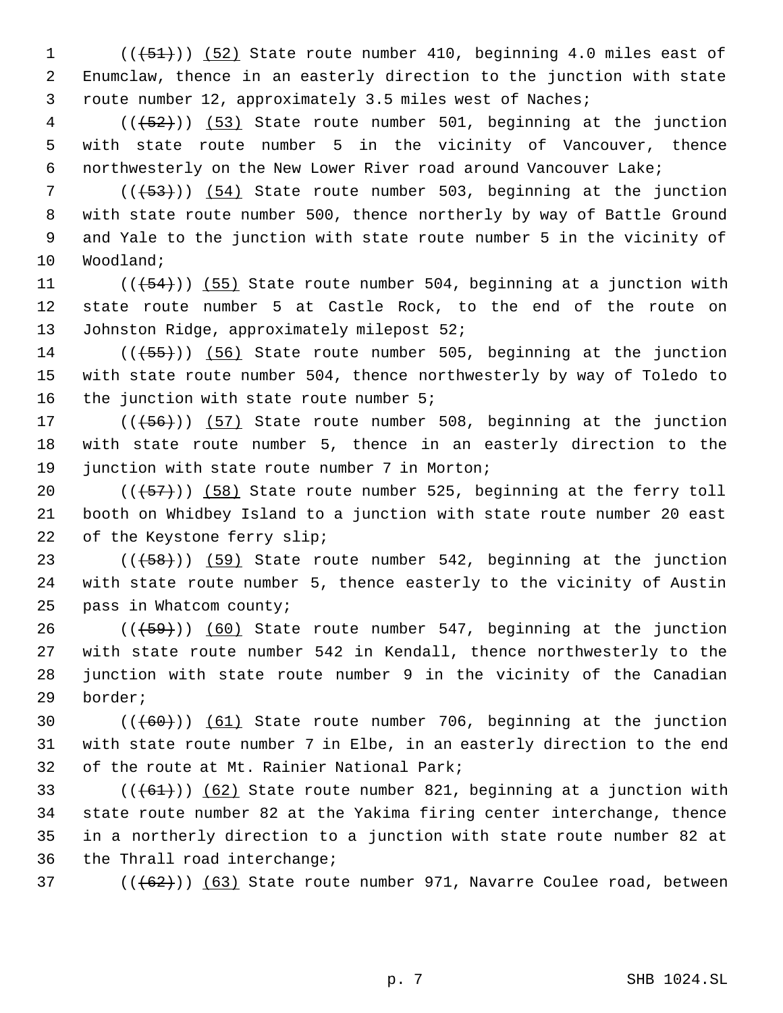1  $((+51)$ )  $(52)$  State route number 410, beginning 4.0 miles east of Enumclaw, thence in an easterly direction to the junction with state route number 12, approximately 3.5 miles west of Naches;

4 (( $(52)$ )) (53) State route number 501, beginning at the junction with state route number 5 in the vicinity of Vancouver, thence northwesterly on the New Lower River road around Vancouver Lake;

7 (( $(53)$ )) (54) State route number 503, beginning at the junction with state route number 500, thence northerly by way of Battle Ground and Yale to the junction with state route number 5 in the vicinity of Woodland;

11  $((+54))$   $(55)$  State route number 504, beginning at a junction with state route number 5 at Castle Rock, to the end of the route on 13 Johnston Ridge, approximately milepost 52;

14  $((+55))$  (56) State route number 505, beginning at the junction with state route number 504, thence northwesterly by way of Toledo to 16 the junction with state route number 5;

17 (((+56))) (57) State route number 508, beginning at the junction with state route number 5, thence in an easterly direction to the 19 junction with state route number 7 in Morton;

 $((+57))$  (58) State route number 525, beginning at the ferry toll booth on Whidbey Island to a junction with state route number 20 east of the Keystone ferry slip;

 $((+58))$  (59) State route number 542, beginning at the junction with state route number 5, thence easterly to the vicinity of Austin pass in Whatcom county;

 ( $(\overline{+59})$ ) (60) State route number 547, beginning at the junction with state route number 542 in Kendall, thence northwesterly to the junction with state route number 9 in the vicinity of the Canadian border;

30  $((+60))$   $(61)$  State route number 706, beginning at the junction with state route number 7 in Elbe, in an easterly direction to the end of the route at Mt. Rainier National Park;

 $((61))$   $(62)$  State route number 821, beginning at a junction with state route number 82 at the Yakima firing center interchange, thence in a northerly direction to a junction with state route number 82 at the Thrall road interchange;

37  $((62))$   $(63)$  State route number 971, Navarre Coulee road, between